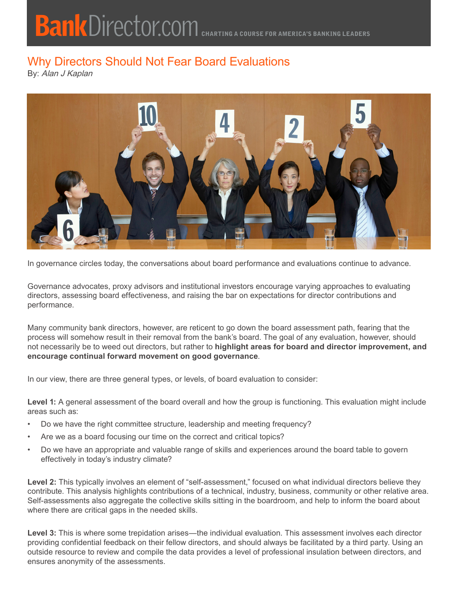## Why Directors Should Not Fear Board Evaluations

By: Alan J Kaplan



In governance circles today, the conversations about board performance and evaluations continue to advance.

Governance advocates, proxy advisors and institutional investors encourage varying approaches to evaluating directors, assessing board effectiveness, and raising the bar on expectations for director contributions and performance.

Many community bank directors, however, are reticent to go down the board assessment path, fearing that the process will somehow result in their removal from the bank's board. The goal of any evaluation, however, should not necessarily be to weed out directors, but rather to **highlight areas for board and director improvement, and encourage continual forward movement on good governance**.

In our view, there are three general types, or levels, of board evaluation to consider:

**Level 1:** A general assessment of the board overall and how the group is functioning. This evaluation might include areas such as:

- Do we have the right committee structure, leadership and meeting frequency?
- Are we as a board focusing our time on the correct and critical topics?
- Do we have an appropriate and valuable range of skills and experiences around the board table to govern effectively in today's industry climate?

Level 2: This typically involves an element of "self-assessment," focused on what individual directors believe they contribute. This analysis highlights contributions of a technical, industry, business, community or other relative area. Self-assessments also aggregate the collective skills sitting in the boardroom, and help to inform the board about where there are critical gaps in the needed skills.

Level 3: This is where some trepidation arises—the individual evaluation. This assessment involves each director providing confidential feedback on their fellow directors, and should always be facilitated by a third party. Using an outside resource to review and compile the data provides a level of professional insulation between directors, and ensures anonymity of the assessments.